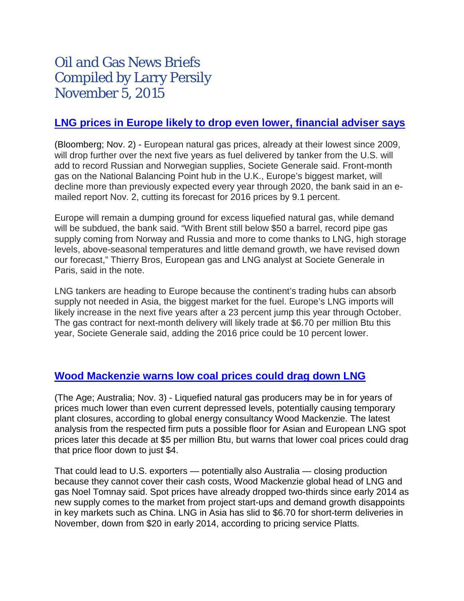# Oil and Gas News Briefs Compiled by Larry Persily November 5, 2015

## **[LNG prices in Europe likely to drop even lower, financial adviser says](http://www.bloomberg.com/news/articles/2015-11-02/socgen-sees-european-gas-sinking-through-2020-on-supply-glut)**

(Bloomberg; Nov. 2) - European natural gas prices, already at their lowest since 2009, will drop further over the next five years as fuel delivered by tanker from the U.S. will add to record Russian and Norwegian supplies, Societe Generale said. Front-month gas on the National Balancing Point hub in the U.K., Europe's biggest market, will decline more than previously expected every year through 2020, the bank said in an emailed report Nov. 2, cutting its forecast for 2016 prices by 9.1 percent.

Europe will remain a dumping ground for excess liquefied natural gas, while demand will be subdued, the bank said. "With Brent still below \$50 a barrel, record pipe gas supply coming from Norway and Russia and more to come thanks to LNG, high storage levels, above-seasonal temperatures and little demand growth, we have revised down our forecast," Thierry Bros, European gas and LNG analyst at Societe Generale in Paris, said in the note.

LNG tankers are heading to Europe because the continent's trading hubs can absorb supply not needed in Asia, the biggest market for the fuel. Europe's LNG imports will likely increase in the next five years after a 23 percent jump this year through October. The gas contract for next-month delivery will likely trade at \$6.70 per million Btu this year, Societe Generale said, adding the 2016 price could be 10 percent lower.

## **[Wood Mackenzie warns low coal prices could drag down LNG](http://www.theage.com.au/business/energy/lng-prices-have-further-to-fall-amid-supply-glut-wood-mackenzie-20151030-gkmqhr.html)**

(The Age; Australia; Nov. 3) - Liquefied natural gas producers may be in for years of prices much lower than even current depressed levels, potentially causing temporary plant closures, according to global energy consultancy Wood Mackenzie. The latest analysis from the respected firm puts a possible floor for Asian and European LNG spot prices later this decade at \$5 per million Btu, but warns that lower coal prices could drag that price floor down to just \$4.

That could lead to U.S. exporters — potentially also Australia — closing production because they cannot cover their cash costs, Wood Mackenzie global head of LNG and gas Noel Tomnay said. Spot prices have already dropped two-thirds since early 2014 as new supply comes to the market from project start-ups and demand growth disappoints in key markets such as China. LNG in Asia has slid to \$6.70 for short-term deliveries in November, down from \$20 in early 2014, according to pricing service Platts.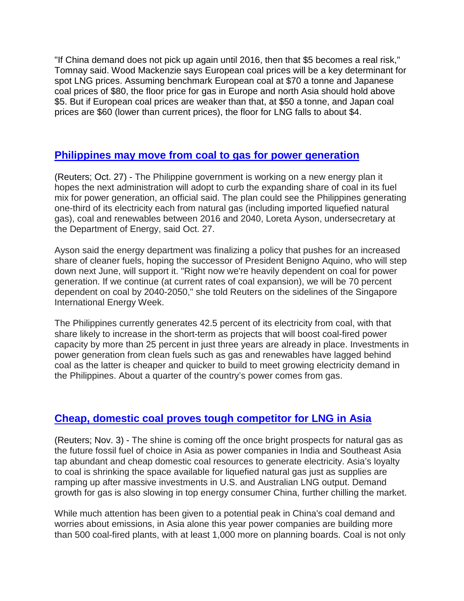"If China demand does not pick up again until 2016, then that \$5 becomes a real risk," Tomnay said. Wood Mackenzie says European coal prices will be a key determinant for spot LNG prices. Assuming benchmark European coal at \$70 a tonne and Japanese coal prices of \$80, the floor price for gas in Europe and north Asia should hold above \$5. But if European coal prices are weaker than that, at \$50 a tonne, and Japan coal prices are \$60 (lower than current prices), the floor for LNG falls to about \$4.

### **[Philippines may move from coal to gas for power generation](http://www.reuters.com/article/2015/10/28/us-philippines-energy-idUSKCN0SM08B20151028)**

(Reuters; Oct. 27) - The Philippine government is working on a new energy plan it hopes the next administration will adopt to curb the expanding share of coal in its fuel mix for power generation, an official said. The plan could see the Philippines generating one-third of its electricity each from natural gas (including imported liquefied natural gas), coal and renewables between 2016 and 2040, Loreta Ayson, undersecretary at the Department of Energy, said Oct. 27.

Ayson said the energy department was finalizing a policy that pushes for an increased share of cleaner fuels, hoping the successor of President Benigno Aquino, who will step down next June, will support it. "Right now we're heavily dependent on coal for power generation. If we continue (at current rates of coal expansion), we will be 70 percent dependent on coal by 2040-2050," she told Reuters on the sidelines of the Singapore International Energy Week.

The Philippines currently generates 42.5 percent of its electricity from coal, with that share likely to increase in the short-term as projects that will boost coal-fired power capacity by more than 25 percent in just three years are already in place. Investments in power generation from clean fuels such as gas and renewables have lagged behind coal as the latter is cheaper and quicker to build to meet growing electricity demand in the Philippines. About a quarter of the country's power comes from gas.

#### **[Cheap, domestic coal proves tough competitor for LNG in Asia](http://uk.reuters.com/article/2015/11/03/asia-energy-power-idUKL3N12U29E20151103)**

(Reuters; Nov. 3) - The shine is coming off the once bright prospects for natural gas as the future fossil fuel of choice in Asia as power companies in India and Southeast Asia tap abundant and cheap domestic coal resources to generate electricity. Asia's loyalty to coal is shrinking the space available for liquefied natural gas just as supplies are ramping up after massive investments in U.S. and Australian LNG output. Demand growth for gas is also slowing in top energy consumer China, further chilling the market.

While much attention has been given to a potential peak in China's coal demand and worries about emissions, in Asia alone this year power companies are building more than 500 coal-fired plants, with at least 1,000 more on planning boards. Coal is not only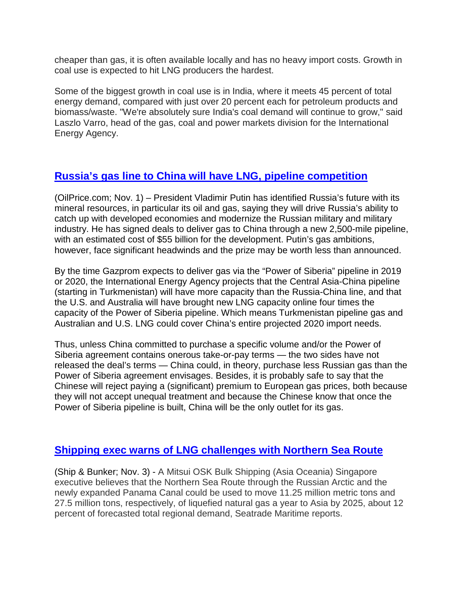cheaper than gas, it is often available locally and has no heavy import costs. Growth in coal use is expected to hit LNG producers the hardest.

Some of the biggest growth in coal use is in India, where it meets 45 percent of total energy demand, compared with just over 20 percent each for petroleum products and biomass/waste. "We're absolutely sure India's coal demand will continue to grow," said Laszlo Varro, head of the gas, coal and power markets division for the International Energy Agency.

## **[Russia's gas line to China will have LNG, pipeline competition](http://oilprice.com/Energy/Natural-Gas/Putin-Is-Taking-A-Big-Risk-With-China-Gas-Deals.html)**

(OilPrice.com; Nov. 1) – President Vladimir Putin has identified Russia's future with its mineral resources, in particular its oil and gas, saying they will drive Russia's ability to catch up with developed economies and modernize the Russian military and military industry. He has signed deals to deliver gas to China through a new 2,500-mile pipeline, with an estimated cost of \$55 billion for the development. Putin's gas ambitions, however, face significant headwinds and the prize may be worth less than announced.

By the time Gazprom expects to deliver gas via the "Power of Siberia" pipeline in 2019 or 2020, the International Energy Agency projects that the Central Asia-China pipeline (starting in Turkmenistan) will have more capacity than the Russia-China line, and that the U.S. and Australia will have brought new LNG capacity online four times the capacity of the Power of Siberia pipeline. Which means Turkmenistan pipeline gas and Australian and U.S. LNG could cover China's entire projected 2020 import needs.

Thus, unless China committed to purchase a specific volume and/or the Power of Siberia agreement contains onerous take-or-pay terms — the two sides have not released the deal's terms — China could, in theory, purchase less Russian gas than the Power of Siberia agreement envisages. Besides, it is probably safe to say that the Chinese will reject paying a (significant) premium to European gas prices, both because they will not accept unequal treatment and because the Chinese know that once the Power of Siberia pipeline is built, China will be the only outlet for its gas.

#### **[Shipping exec warns of LNG challenges with Northern Sea Route](http://shipandbunker.com/news/world/283818-northern-sea-route-panama-canal-predicted-to-be-major-lng-access-routes-to-asia)**

(Ship & Bunker; Nov. 3) - A Mitsui OSK Bulk Shipping (Asia Oceania) Singapore executive believes that the Northern Sea Route through the Russian Arctic and the newly expanded Panama Canal could be used to move 11.25 million metric tons and 27.5 million tons, respectively, of liquefied natural gas a year to Asia by 2025, about 12 percent of forecasted total regional demand, Seatrade Maritime reports.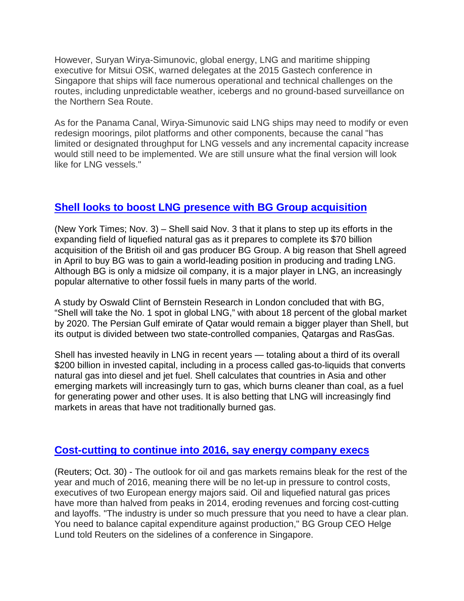However, Suryan Wirya-Simunovic, global energy, LNG and maritime shipping executive for Mitsui OSK, warned delegates at the 2015 Gastech conference in Singapore that ships will face numerous operational and technical challenges on the routes, including unpredictable weather, icebergs and no ground-based surveillance on the Northern Sea Route.

As for the Panama Canal, Wirya-Simunovic said LNG ships may need to modify or even redesign moorings, pilot platforms and other components, because the canal "has limited or designated throughput for LNG vessels and any incremental capacity increase would still need to be implemented. We are still unsure what the final version will look like for LNG vessels."

## **[Shell looks to boost LNG presence with BG Group acquisition](http://www.nytimes.com/2015/11/04/business/energy-environment/shell-bg-group-lng.html?smid=tw-share&_r=1)**

(New York Times; Nov. 3) – Shell said Nov. 3 that it plans to step up its efforts in the expanding field of liquefied natural gas as it prepares to complete its \$70 billion acquisition of the British oil and gas producer BG Group. A big reason that Shell agreed in April to buy BG was to gain a world-leading position in producing and trading LNG. Although BG is only a midsize oil company, it is a major player in LNG, an increasingly popular alternative to other fossil fuels in many parts of the world.

A study by Oswald Clint of Bernstein Research in London concluded that with BG, "Shell will take the No. 1 spot in global LNG," with about 18 percent of the global market by 2020. The Persian Gulf emirate of Qatar would remain a bigger player than Shell, but its output is divided between two state-controlled companies, Qatargas and RasGas.

Shell has invested heavily in LNG in recent years — totaling about a third of its overall \$200 billion in invested capital, including in a process called gas-to-liquids that converts natural gas into diesel and jet fuel. Shell calculates that countries in Asia and other emerging markets will increasingly turn to gas, which burns cleaner than coal, as a fuel for generating power and other uses. It is also betting that LNG will increasingly find markets in areas that have not traditionally burned gas.

#### **[Cost-cutting to continue into 2016, say energy company execs](http://www.reuters.com/article/2015/10/30/us-oil-gas-bg-group-statoil-idUSKCN0SO1FV20151030)**

(Reuters; Oct. 30) - The outlook for oil and gas markets remains bleak for the rest of the year and much of 2016, meaning there will be no let-up in pressure to control costs, executives of two European energy majors said. Oil and liquefied natural gas prices have more than halved from peaks in 2014, eroding revenues and forcing cost-cutting and layoffs. "The industry is under so much pressure that you need to have a clear plan. You need to balance capital expenditure against production," BG Group CEO Helge Lund told Reuters on the sidelines of a conference in Singapore.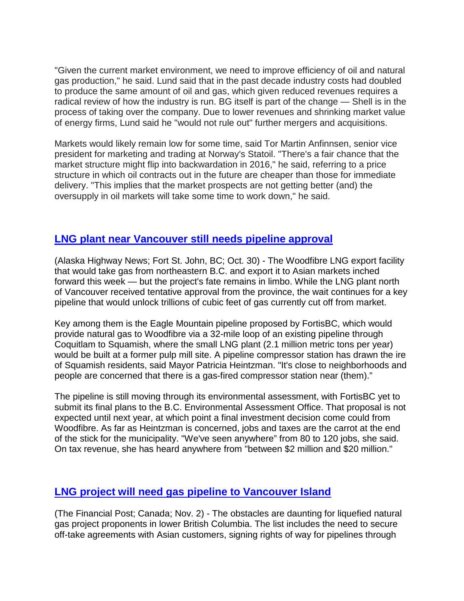"Given the current market environment, we need to improve efficiency of oil and natural gas production," he said. Lund said that in the past decade industry costs had doubled to produce the same amount of oil and gas, which given reduced revenues requires a radical review of how the industry is run. BG itself is part of the change — Shell is in the process of taking over the company. Due to lower revenues and shrinking market value of energy firms, Lund said he "would not rule out" further mergers and acquisitions.

Markets would likely remain low for some time, said Tor Martin Anfinnsen, senior vice president for marketing and trading at Norway's Statoil. "There's a fair chance that the market structure might flip into backwardation in 2016," he said, referring to a price structure in which oil contracts out in the future are cheaper than those for immediate delivery. "This implies that the market prospects are not getting better (and) the oversupply in oil markets will take some time to work down," he said.

#### **[LNG plant near Vancouver still needs pipeline approval](http://www.alaskahighwaynews.ca/regional-news/lng/fortisbc-pipeline-key-for-woodfibre-lng-1.2100032)**

(Alaska Highway News; Fort St. John, BC; Oct. 30) - The Woodfibre LNG export facility that would take gas from northeastern B.C. and export it to Asian markets inched forward this week — but the project's fate remains in limbo. While the LNG plant north of Vancouver received tentative approval from the province, the wait continues for a key pipeline that would unlock trillions of cubic feet of gas currently cut off from market.

Key among them is the Eagle Mountain pipeline proposed by FortisBC, which would provide natural gas to Woodfibre via a 32-mile loop of an existing pipeline through Coquitlam to Squamish, where the small LNG plant (2.1 million metric tons per year) would be built at a former pulp mill site. A pipeline compressor station has drawn the ire of Squamish residents, said Mayor Patricia Heintzman. "It's close to neighborhoods and people are concerned that there is a gas-fired compressor station near (them)."

The pipeline is still moving through its environmental assessment, with FortisBC yet to submit its final plans to the B.C. Environmental Assessment Office. That proposal is not expected until next year, at which point a final investment decision come could from Woodfibre. As far as Heintzman is concerned, jobs and taxes are the carrot at the end of the stick for the municipality. "We've seen anywhere" from 80 to 120 jobs, she said. On tax revenue, she has heard anywhere from "between \$2 million and \$20 million."

## **[LNG project will need gas pipeline to Vancouver Island](http://business.financialpost.com/news/energy/steelhead-lng-vs-the-salish-sea-underwater-pipeline-must-be-negotiated-before-financing-can-be-secured)**

(The Financial Post; Canada; Nov. 2) - The obstacles are daunting for liquefied natural gas project proponents in lower British Columbia. The list includes the need to secure off-take agreements with Asian customers, signing rights of way for pipelines through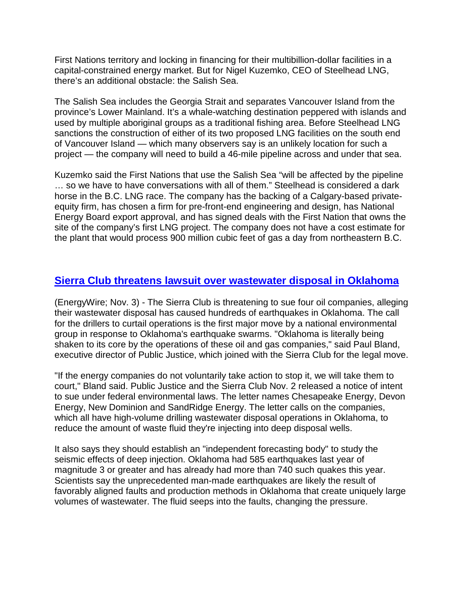First Nations territory and locking in financing for their multibillion-dollar facilities in a capital-constrained energy market. But for Nigel Kuzemko, CEO of Steelhead LNG, there's an additional obstacle: the Salish Sea.

The Salish Sea includes the Georgia Strait and separates Vancouver Island from the province's Lower Mainland. It's a whale-watching destination peppered with islands and used by multiple aboriginal groups as a traditional fishing area. Before Steelhead LNG sanctions the construction of either of its two proposed LNG facilities on the south end of Vancouver Island — which many observers say is an unlikely location for such a project — the company will need to build a 46-mile pipeline across and under that sea.

Kuzemko said the First Nations that use the Salish Sea "will be affected by the pipeline … so we have to have conversations with all of them." Steelhead is considered a dark horse in the B.C. LNG race. The company has the backing of a Calgary-based privateequity firm, has chosen a firm for pre-front-end engineering and design, has National Energy Board export approval, and has signed deals with the First Nation that owns the site of the company's first LNG project. The company does not have a cost estimate for the plant that would process 900 million cubic feet of gas a day from northeastern B.C.

#### **[Sierra Club threatens lawsuit over wastewater disposal in Oklahoma](http://www.eenews.net/ew)**

(EnergyWire; Nov. 3) - The Sierra Club is threatening to sue four oil companies, alleging their wastewater disposal has caused hundreds of earthquakes in Oklahoma. The call for the drillers to curtail operations is the first major move by a national environmental group in response to Oklahoma's earthquake swarms. "Oklahoma is literally being shaken to its core by the operations of these oil and gas companies," said Paul Bland, executive director of Public Justice, which joined with the Sierra Club for the legal move.

"If the energy companies do not voluntarily take action to stop it, we will take them to court," Bland said. Public Justice and the Sierra Club Nov. 2 released a notice of intent to sue under federal environmental laws. The letter names Chesapeake Energy, Devon Energy, New Dominion and SandRidge Energy. The letter calls on the companies, which all have high-volume drilling wastewater disposal operations in Oklahoma, to reduce the amount of waste fluid they're injecting into deep disposal wells.

It also says they should establish an "independent forecasting body" to study the seismic effects of deep injection. Oklahoma had 585 earthquakes last year of magnitude 3 or greater and has already had more than 740 such quakes this year. Scientists say the unprecedented man-made earthquakes are likely the result of favorably aligned faults and production methods in Oklahoma that create uniquely large volumes of wastewater. The fluid seeps into the faults, changing the pressure.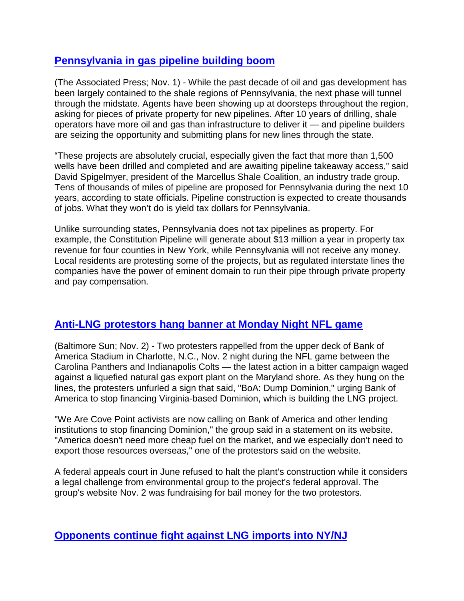## **[Pennsylvania in gas pipeline building boom](http://fuelfix.com/blog/2015/11/01/pipelines-planned-for-midstate-pennsylvania/)**

(The Associated Press; Nov. 1) - While the past decade of oil and gas development has been largely contained to the shale regions of Pennsylvania, the next phase will tunnel through the midstate. Agents have been showing up at doorsteps throughout the region, asking for pieces of private property for new pipelines. After 10 years of drilling, shale operators have more oil and gas than infrastructure to deliver it — and pipeline builders are seizing the opportunity and submitting plans for new lines through the state.

"These projects are absolutely crucial, especially given the fact that more than 1,500 wells have been drilled and completed and are awaiting pipeline takeaway access," said David Spigelmyer, president of the Marcellus Shale Coalition, an industry trade group. Tens of thousands of miles of pipeline are proposed for Pennsylvania during the next 10 years, according to state officials. Pipeline construction is expected to create thousands of jobs. What they won't do is yield tax dollars for Pennsylvania.

Unlike surrounding states, Pennsylvania does not tax pipelines as property. For example, the Constitution Pipeline will generate about \$13 million a year in property tax revenue for four counties in New York, while Pennsylvania will not receive any money. Local residents are protesting some of the projects, but as regulated interstate lines the companies have the power of eminent domain to run their pipe through private property and pay compensation.

#### **[Anti-LNG protestors hang banner at Monday Night NFL game](http://www.baltimoresun.com/news/maryland/bs-md-mnf-dominion-protest-20151103-story.html)**

(Baltimore Sun; Nov. 2) - Two protesters rappelled from the upper deck of Bank of America Stadium in Charlotte, N.C., Nov. 2 night during the NFL game between the Carolina Panthers and Indianapolis Colts — the latest action in a bitter campaign waged against a liquefied natural gas export plant on the Maryland shore. As they hung on the lines, the protesters unfurled a sign that said, "BoA: Dump Dominion," urging Bank of America to stop financing Virginia-based Dominion, which is building the LNG project.

"We Are Cove Point activists are now calling on Bank of America and other lending institutions to stop financing Dominion," the group said in a statement on its website. "America doesn't need more cheap fuel on the market, and we especially don't need to export those resources overseas," one of the protestors said on the website.

A federal appeals court in June refused to halt the plant's construction while it considers a legal challenge from environmental group to the project's federal approval. The group's website Nov. 2 was fundraising for bail money for the two protestors.

#### **[Opponents continue fight against LNG imports into NY/NJ](http://www.wral.com/battle-resumes-at-new-jersey-hearing-over-ocean-gas-terminal/15058867/)**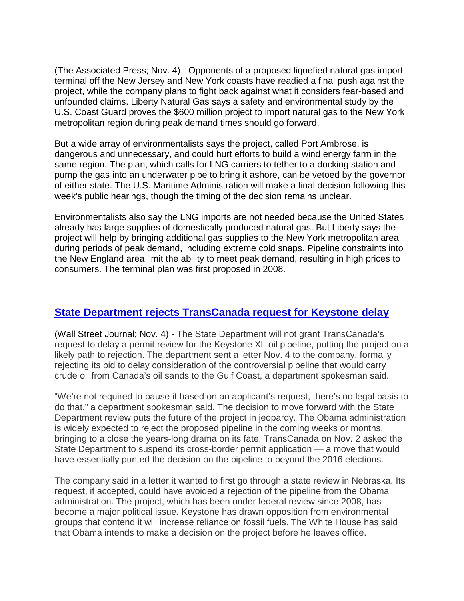(The Associated Press; Nov. 4) - Opponents of a proposed liquefied natural gas import terminal off the New Jersey and New York coasts have readied a final push against the project, while the company plans to fight back against what it considers fear-based and unfounded claims. Liberty Natural Gas says a safety and environmental study by the U.S. Coast Guard proves the \$600 million project to import natural gas to the New York metropolitan region during peak demand times should go forward.

But a wide array of environmentalists says the project, called Port Ambrose, is dangerous and unnecessary, and could hurt efforts to build a wind energy farm in the same region. The plan, which calls for LNG carriers to tether to a docking station and pump the gas into an underwater pipe to bring it ashore, can be vetoed by the governor of either state. The U.S. Maritime Administration will make a final decision following this week's public hearings, though the timing of the decision remains unclear.

Environmentalists also say the LNG imports are not needed because the United States already has large supplies of domestically produced natural gas. But Liberty says the project will help by bringing additional gas supplies to the New York metropolitan area during periods of peak demand, including extreme cold snaps. Pipeline constraints into the New England area limit the ability to meet peak demand, resulting in high prices to consumers. The terminal plan was first proposed in 2008.

#### **[State Department rejects TransCanada request for Keystone delay](http://www.wsj.com/articles/state-department-says-it-will-complete-keystone-xl-permit-review-1446669797)**

(Wall Street Journal; Nov. 4) - The State Department will not grant TransCanada's request to delay a permit review for the Keystone XL oil pipeline, putting the project on a likely path to rejection. The department sent a letter Nov. 4 to the company, formally rejecting its bid to delay consideration of the controversial pipeline that would carry crude oil from Canada's oil sands to the Gulf Coast, a department spokesman said.

"We're not required to pause it based on an applicant's request, there's no legal basis to do that," a department spokesman said. The decision to move forward with the State Department review puts the future of the project in jeopardy. The Obama administration is widely expected to reject the proposed pipeline in the coming weeks or months, bringing to a close the years-long drama on its fate. TransCanada on Nov. 2 asked the State Department to suspend its cross-border permit application — a move that would have essentially punted the decision on the pipeline to beyond the 2016 elections.

The company said in a letter it wanted to first go through a state review in Nebraska. Its request, if accepted, could have avoided a rejection of the pipeline from the Obama administration. The project, which has been under federal review since 2008, has become a major political issue. Keystone has drawn opposition from environmental groups that contend it will increase reliance on fossil fuels. The White House has said that Obama intends to make a decision on the project before he leaves office.